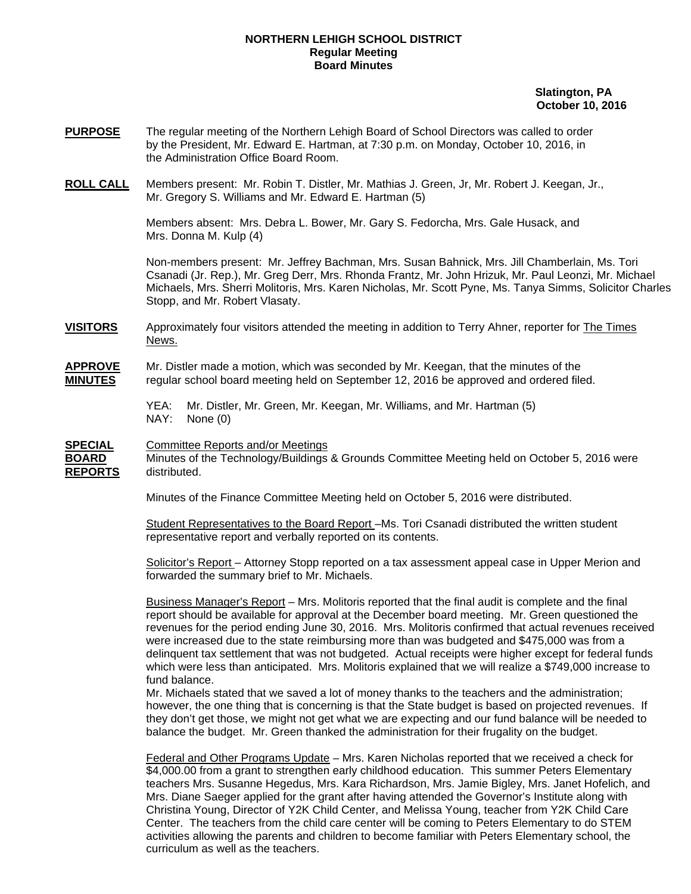## **NORTHERN LEHIGH SCHOOL DISTRICT Regular Meeting Board Minutes**

 **Slatington, PA October 10, 2016** 

- **PURPOSE** The regular meeting of the Northern Lehigh Board of School Directors was called to order by the President, Mr. Edward E. Hartman, at 7:30 p.m. on Monday, October 10, 2016, in the Administration Office Board Room.
- **ROLL CALL** Members present: Mr. Robin T. Distler, Mr. Mathias J. Green, Jr, Mr. Robert J. Keegan, Jr., Mr. Gregory S. Williams and Mr. Edward E. Hartman (5)

Members absent: Mrs. Debra L. Bower, Mr. Gary S. Fedorcha, Mrs. Gale Husack, and Mrs. Donna M. Kulp (4)

Non-members present: Mr. Jeffrey Bachman, Mrs. Susan Bahnick, Mrs. Jill Chamberlain, Ms. Tori Csanadi (Jr. Rep.), Mr. Greg Derr, Mrs. Rhonda Frantz, Mr. John Hrizuk, Mr. Paul Leonzi, Mr. Michael Michaels, Mrs. Sherri Molitoris, Mrs. Karen Nicholas, Mr. Scott Pyne, Ms. Tanya Simms, Solicitor Charles Stopp, and Mr. Robert Vlasaty.

**VISITORS** Approximately four visitors attended the meeting in addition to Terry Ahner, reporter for The Times News.

**APPROVE** Mr. Distler made a motion, which was seconded by Mr. Keegan, that the minutes of the **MINUTES** regular school board meeting held on September 12, 2016 be approved and ordered filed.

> YEA: Mr. Distler, Mr. Green, Mr. Keegan, Mr. Williams, and Mr. Hartman (5) NAY: None (0)

**SPECIAL** Committee Reports and/or Meetings

**BOARD** Minutes of the Technology/Buildings & Grounds Committee Meeting held on October 5, 2016 were **REPORTS** distributed.

Minutes of the Finance Committee Meeting held on October 5, 2016 were distributed.

 Student Representatives to the Board Report –Ms. Tori Csanadi distributed the written student representative report and verbally reported on its contents.

 Solicitor's Report – Attorney Stopp reported on a tax assessment appeal case in Upper Merion and forwarded the summary brief to Mr. Michaels.

 Business Manager's Report – Mrs. Molitoris reported that the final audit is complete and the final report should be available for approval at the December board meeting. Mr. Green questioned the revenues for the period ending June 30, 2016. Mrs. Molitoris confirmed that actual revenues received were increased due to the state reimbursing more than was budgeted and \$475,000 was from a delinquent tax settlement that was not budgeted. Actual receipts were higher except for federal funds which were less than anticipated. Mrs. Molitoris explained that we will realize a \$749,000 increase to fund balance.

 Mr. Michaels stated that we saved a lot of money thanks to the teachers and the administration; however, the one thing that is concerning is that the State budget is based on projected revenues. If they don't get those, we might not get what we are expecting and our fund balance will be needed to balance the budget. Mr. Green thanked the administration for their frugality on the budget.

Federal and Other Programs Update – Mrs. Karen Nicholas reported that we received a check for \$4,000.00 from a grant to strengthen early childhood education. This summer Peters Elementary teachers Mrs. Susanne Hegedus, Mrs. Kara Richardson, Mrs. Jamie Bigley, Mrs. Janet Hofelich, and Mrs. Diane Saeger applied for the grant after having attended the Governor's Institute along with Christina Young, Director of Y2K Child Center, and Melissa Young, teacher from Y2K Child Care Center. The teachers from the child care center will be coming to Peters Elementary to do STEM activities allowing the parents and children to become familiar with Peters Elementary school, the curriculum as well as the teachers.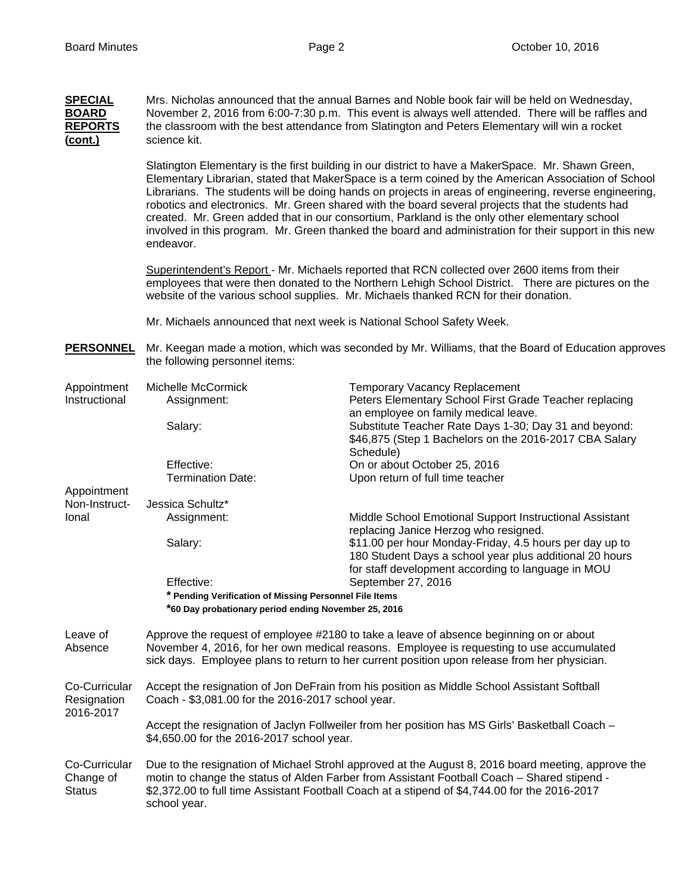| <b>SPECIAL</b><br><b>BOARD</b><br><b>REPORTS</b><br>(cont.) | Mrs. Nicholas announced that the annual Barnes and Noble book fair will be held on Wednesday,<br>November 2, 2016 from 6:00-7:30 p.m. This event is always well attended. There will be raffles and<br>the classroom with the best attendance from Slatington and Peters Elementary will win a rocket<br>science kit. |                                                                                                                                                                                                                                                                                                                                                                                                                                                                                                                                                                                                                                    |  |  |  |  |  |
|-------------------------------------------------------------|-----------------------------------------------------------------------------------------------------------------------------------------------------------------------------------------------------------------------------------------------------------------------------------------------------------------------|------------------------------------------------------------------------------------------------------------------------------------------------------------------------------------------------------------------------------------------------------------------------------------------------------------------------------------------------------------------------------------------------------------------------------------------------------------------------------------------------------------------------------------------------------------------------------------------------------------------------------------|--|--|--|--|--|
|                                                             | endeavor.                                                                                                                                                                                                                                                                                                             | Slatington Elementary is the first building in our district to have a MakerSpace. Mr. Shawn Green,<br>Elementary Librarian, stated that MakerSpace is a term coined by the American Association of School<br>Librarians. The students will be doing hands on projects in areas of engineering, reverse engineering,<br>robotics and electronics. Mr. Green shared with the board several projects that the students had<br>created. Mr. Green added that in our consortium, Parkland is the only other elementary school<br>involved in this program. Mr. Green thanked the board and administration for their support in this new |  |  |  |  |  |
|                                                             | Superintendent's Report - Mr. Michaels reported that RCN collected over 2600 items from their<br>employees that were then donated to the Northern Lehigh School District. There are pictures on the<br>website of the various school supplies. Mr. Michaels thanked RCN for their donation.                           |                                                                                                                                                                                                                                                                                                                                                                                                                                                                                                                                                                                                                                    |  |  |  |  |  |
|                                                             | Mr. Michaels announced that next week is National School Safety Week.                                                                                                                                                                                                                                                 |                                                                                                                                                                                                                                                                                                                                                                                                                                                                                                                                                                                                                                    |  |  |  |  |  |
| <b>PERSONNEL</b>                                            | the following personnel items:                                                                                                                                                                                                                                                                                        | Mr. Keegan made a motion, which was seconded by Mr. Williams, that the Board of Education approves                                                                                                                                                                                                                                                                                                                                                                                                                                                                                                                                 |  |  |  |  |  |
| Appointment<br>Instructional                                | Michelle McCormick<br>Assignment:                                                                                                                                                                                                                                                                                     | <b>Temporary Vacancy Replacement</b><br>Peters Elementary School First Grade Teacher replacing<br>an employee on family medical leave.                                                                                                                                                                                                                                                                                                                                                                                                                                                                                             |  |  |  |  |  |
|                                                             | Salary:                                                                                                                                                                                                                                                                                                               | Substitute Teacher Rate Days 1-30; Day 31 and beyond:<br>\$46,875 (Step 1 Bachelors on the 2016-2017 CBA Salary<br>Schedule)                                                                                                                                                                                                                                                                                                                                                                                                                                                                                                       |  |  |  |  |  |
|                                                             | Effective:<br><b>Termination Date:</b>                                                                                                                                                                                                                                                                                | On or about October 25, 2016<br>Upon return of full time teacher                                                                                                                                                                                                                                                                                                                                                                                                                                                                                                                                                                   |  |  |  |  |  |
| Appointment                                                 |                                                                                                                                                                                                                                                                                                                       |                                                                                                                                                                                                                                                                                                                                                                                                                                                                                                                                                                                                                                    |  |  |  |  |  |
| Non-Instruct-                                               | Jessica Schultz*                                                                                                                                                                                                                                                                                                      |                                                                                                                                                                                                                                                                                                                                                                                                                                                                                                                                                                                                                                    |  |  |  |  |  |
| Ional                                                       | Assignment:                                                                                                                                                                                                                                                                                                           | Middle School Emotional Support Instructional Assistant                                                                                                                                                                                                                                                                                                                                                                                                                                                                                                                                                                            |  |  |  |  |  |
|                                                             | Salary:                                                                                                                                                                                                                                                                                                               | replacing Janice Herzog who resigned.<br>\$11.00 per hour Monday-Friday, 4.5 hours per day up to<br>180 Student Days a school year plus additional 20 hours                                                                                                                                                                                                                                                                                                                                                                                                                                                                        |  |  |  |  |  |
|                                                             |                                                                                                                                                                                                                                                                                                                       | for staff development according to language in MOU                                                                                                                                                                                                                                                                                                                                                                                                                                                                                                                                                                                 |  |  |  |  |  |
|                                                             | Effective:                                                                                                                                                                                                                                                                                                            | September 27, 2016                                                                                                                                                                                                                                                                                                                                                                                                                                                                                                                                                                                                                 |  |  |  |  |  |
|                                                             | * Pending Verification of Missing Personnel File Items<br>*60 Day probationary period ending November 25, 2016                                                                                                                                                                                                        |                                                                                                                                                                                                                                                                                                                                                                                                                                                                                                                                                                                                                                    |  |  |  |  |  |
| Leave of<br>Absence                                         | Approve the request of employee #2180 to take a leave of absence beginning on or about<br>November 4, 2016, for her own medical reasons. Employee is requesting to use accumulated<br>sick days. Employee plans to return to her current position upon release from her physician.                                    |                                                                                                                                                                                                                                                                                                                                                                                                                                                                                                                                                                                                                                    |  |  |  |  |  |
| Co-Curricular<br>Resignation<br>2016-2017                   | Accept the resignation of Jon DeFrain from his position as Middle School Assistant Softball<br>Coach - \$3,081.00 for the 2016-2017 school year.                                                                                                                                                                      |                                                                                                                                                                                                                                                                                                                                                                                                                                                                                                                                                                                                                                    |  |  |  |  |  |
|                                                             | Accept the resignation of Jaclyn Follweiler from her position has MS Girls' Basketball Coach -<br>\$4,650.00 for the 2016-2017 school year.                                                                                                                                                                           |                                                                                                                                                                                                                                                                                                                                                                                                                                                                                                                                                                                                                                    |  |  |  |  |  |
| Co-Curricular<br>Change of<br><b>Status</b>                 | Due to the resignation of Michael Strohl approved at the August 8, 2016 board meeting, approve the<br>motin to change the status of Alden Farber from Assistant Football Coach - Shared stipend -<br>\$2,372.00 to full time Assistant Football Coach at a stipend of \$4,744.00 for the 2016-2017<br>school year.    |                                                                                                                                                                                                                                                                                                                                                                                                                                                                                                                                                                                                                                    |  |  |  |  |  |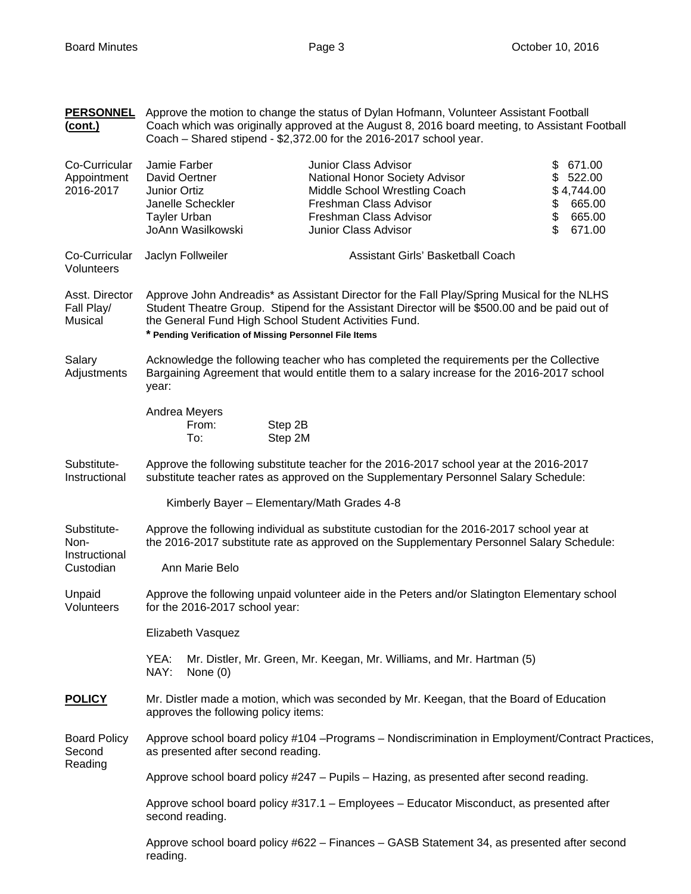| <b>PERSONNEL</b><br><u>(cont.)</u>                | Approve the motion to change the status of Dylan Hofmann, Volunteer Assistant Football<br>Coach which was originally approved at the August 8, 2016 board meeting, to Assistant Football<br>Coach - Shared stipend - \$2,372.00 for the 2016-2017 school year.                                                  |                                                         |                    |                                                                                                                                                                                        |                                   |  |                            |                                                              |  |
|---------------------------------------------------|-----------------------------------------------------------------------------------------------------------------------------------------------------------------------------------------------------------------------------------------------------------------------------------------------------------------|---------------------------------------------------------|--------------------|----------------------------------------------------------------------------------------------------------------------------------------------------------------------------------------|-----------------------------------|--|----------------------------|--------------------------------------------------------------|--|
| Co-Curricular<br>Appointment<br>2016-2017         | Jamie Farber<br>Junior Ortiz<br><b>Tayler Urban</b>                                                                                                                                                                                                                                                             | David Oertner<br>Janelle Scheckler<br>JoAnn Wasilkowski |                    | Junior Class Advisor<br>National Honor Society Advisor<br>Middle School Wrestling Coach<br>Freshman Class Advisor<br>Freshman Class Advisor<br>Junior Class Advisor                    |                                   |  | \$<br>\$<br>\$<br>\$<br>\$ | 671.00<br>522.00<br>\$4,744.00<br>665.00<br>665.00<br>671.00 |  |
| Co-Curricular<br>Volunteers                       |                                                                                                                                                                                                                                                                                                                 | Jaclyn Follweiler                                       |                    |                                                                                                                                                                                        | Assistant Girls' Basketball Coach |  |                            |                                                              |  |
| Asst. Director<br>Fall Play/<br>Musical           | Approve John Andreadis* as Assistant Director for the Fall Play/Spring Musical for the NLHS<br>Student Theatre Group. Stipend for the Assistant Director will be \$500.00 and be paid out of<br>the General Fund High School Student Activities Fund.<br>* Pending Verification of Missing Personnel File Items |                                                         |                    |                                                                                                                                                                                        |                                   |  |                            |                                                              |  |
| Salary<br>Adjustments                             | year:                                                                                                                                                                                                                                                                                                           |                                                         |                    | Acknowledge the following teacher who has completed the requirements per the Collective<br>Bargaining Agreement that would entitle them to a salary increase for the 2016-2017 school  |                                   |  |                            |                                                              |  |
|                                                   |                                                                                                                                                                                                                                                                                                                 | Andrea Meyers<br>From:<br>To:                           | Step 2B<br>Step 2M |                                                                                                                                                                                        |                                   |  |                            |                                                              |  |
| Substitute-<br>Instructional                      | Approve the following substitute teacher for the 2016-2017 school year at the 2016-2017<br>substitute teacher rates as approved on the Supplementary Personnel Salary Schedule:                                                                                                                                 |                                                         |                    |                                                                                                                                                                                        |                                   |  |                            |                                                              |  |
|                                                   |                                                                                                                                                                                                                                                                                                                 | Kimberly Bayer - Elementary/Math Grades 4-8             |                    |                                                                                                                                                                                        |                                   |  |                            |                                                              |  |
| Substitute-<br>Non-<br>Instructional<br>Custodian |                                                                                                                                                                                                                                                                                                                 |                                                         |                    | Approve the following individual as substitute custodian for the 2016-2017 school year at<br>the 2016-2017 substitute rate as approved on the Supplementary Personnel Salary Schedule: |                                   |  |                            |                                                              |  |
|                                                   |                                                                                                                                                                                                                                                                                                                 | Ann Marie Belo                                          |                    |                                                                                                                                                                                        |                                   |  |                            |                                                              |  |
| Unpaid<br>Volunteers                              |                                                                                                                                                                                                                                                                                                                 | for the 2016-2017 school year:                          |                    | Approve the following unpaid volunteer aide in the Peters and/or Slatington Elementary school                                                                                          |                                   |  |                            |                                                              |  |
|                                                   |                                                                                                                                                                                                                                                                                                                 | Elizabeth Vasquez                                       |                    |                                                                                                                                                                                        |                                   |  |                            |                                                              |  |
|                                                   | YEA:<br>NAY:                                                                                                                                                                                                                                                                                                    | None $(0)$                                              |                    | Mr. Distler, Mr. Green, Mr. Keegan, Mr. Williams, and Mr. Hartman (5)                                                                                                                  |                                   |  |                            |                                                              |  |
| <b>POLICY</b>                                     | Mr. Distler made a motion, which was seconded by Mr. Keegan, that the Board of Education<br>approves the following policy items:                                                                                                                                                                                |                                                         |                    |                                                                                                                                                                                        |                                   |  |                            |                                                              |  |
| <b>Board Policy</b><br>Second<br>Reading          | Approve school board policy #104 - Programs - Nondiscrimination in Employment/Contract Practices,<br>as presented after second reading.                                                                                                                                                                         |                                                         |                    |                                                                                                                                                                                        |                                   |  |                            |                                                              |  |
|                                                   | Approve school board policy #247 - Pupils - Hazing, as presented after second reading.                                                                                                                                                                                                                          |                                                         |                    |                                                                                                                                                                                        |                                   |  |                            |                                                              |  |
|                                                   | Approve school board policy #317.1 - Employees - Educator Misconduct, as presented after<br>second reading.                                                                                                                                                                                                     |                                                         |                    |                                                                                                                                                                                        |                                   |  |                            |                                                              |  |
|                                                   | Approve school board policy #622 - Finances - GASB Statement 34, as presented after second<br>reading.                                                                                                                                                                                                          |                                                         |                    |                                                                                                                                                                                        |                                   |  |                            |                                                              |  |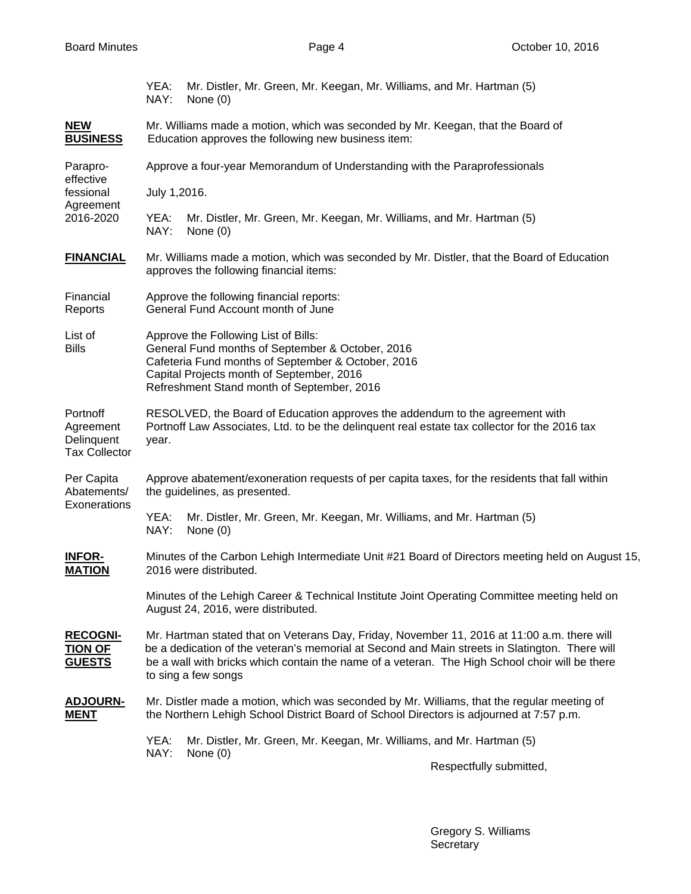|                                                              | YEA:<br>NAY:                                                                                                                                                                                                                                                                                                           | Mr. Distler, Mr. Green, Mr. Keegan, Mr. Williams, and Mr. Hartman (5)<br>None $(0)$                            |  |  |  |  |  |
|--------------------------------------------------------------|------------------------------------------------------------------------------------------------------------------------------------------------------------------------------------------------------------------------------------------------------------------------------------------------------------------------|----------------------------------------------------------------------------------------------------------------|--|--|--|--|--|
| <b>NEW</b><br><b>BUSINESS</b>                                | Mr. Williams made a motion, which was seconded by Mr. Keegan, that the Board of<br>Education approves the following new business item:                                                                                                                                                                                 |                                                                                                                |  |  |  |  |  |
| Parapro-<br>effective<br>fessional<br>Agreement<br>2016-2020 | Approve a four-year Memorandum of Understanding with the Paraprofessionals                                                                                                                                                                                                                                             |                                                                                                                |  |  |  |  |  |
|                                                              | July 1,2016.                                                                                                                                                                                                                                                                                                           |                                                                                                                |  |  |  |  |  |
|                                                              | YEA:<br>NAY:                                                                                                                                                                                                                                                                                                           | Mr. Distler, Mr. Green, Mr. Keegan, Mr. Williams, and Mr. Hartman (5)<br>None $(0)$                            |  |  |  |  |  |
| <b>FINANCIAL</b>                                             | Mr. Williams made a motion, which was seconded by Mr. Distler, that the Board of Education<br>approves the following financial items:                                                                                                                                                                                  |                                                                                                                |  |  |  |  |  |
| Financial<br>Reports                                         | Approve the following financial reports:<br>General Fund Account month of June                                                                                                                                                                                                                                         |                                                                                                                |  |  |  |  |  |
| List of<br><b>Bills</b>                                      | Approve the Following List of Bills:<br>General Fund months of September & October, 2016<br>Cafeteria Fund months of September & October, 2016<br>Capital Projects month of September, 2016<br>Refreshment Stand month of September, 2016                                                                              |                                                                                                                |  |  |  |  |  |
| Portnoff<br>Agreement<br>Delinquent<br><b>Tax Collector</b>  | RESOLVED, the Board of Education approves the addendum to the agreement with<br>Portnoff Law Associates, Ltd. to be the delinquent real estate tax collector for the 2016 tax<br>year.                                                                                                                                 |                                                                                                                |  |  |  |  |  |
| Per Capita<br>Abatements/<br>Exonerations                    | Approve abatement/exoneration requests of per capita taxes, for the residents that fall within<br>the guidelines, as presented.                                                                                                                                                                                        |                                                                                                                |  |  |  |  |  |
|                                                              | YEA:<br>NAY:                                                                                                                                                                                                                                                                                                           | Mr. Distler, Mr. Green, Mr. Keegan, Mr. Williams, and Mr. Hartman (5)<br>None $(0)$                            |  |  |  |  |  |
| <b>INFOR-</b><br><b>MATION</b>                               | Minutes of the Carbon Lehigh Intermediate Unit #21 Board of Directors meeting held on August 15,<br>2016 were distributed.                                                                                                                                                                                             |                                                                                                                |  |  |  |  |  |
|                                                              | Minutes of the Lehigh Career & Technical Institute Joint Operating Committee meeting held on<br>August 24, 2016, were distributed.                                                                                                                                                                                     |                                                                                                                |  |  |  |  |  |
| <b>RECOGNI-</b><br><b>TION OF</b><br><b>GUESTS</b>           | Mr. Hartman stated that on Veterans Day, Friday, November 11, 2016 at 11:00 a.m. there will<br>be a dedication of the veteran's memorial at Second and Main streets in Slatington. There will<br>be a wall with bricks which contain the name of a veteran. The High School choir will be there<br>to sing a few songs |                                                                                                                |  |  |  |  |  |
| <b>ADJOURN-</b><br><b>MENT</b>                               | Mr. Distler made a motion, which was seconded by Mr. Williams, that the regular meeting of<br>the Northern Lehigh School District Board of School Directors is adjourned at 7:57 p.m.                                                                                                                                  |                                                                                                                |  |  |  |  |  |
|                                                              | YEA:<br>NAY:                                                                                                                                                                                                                                                                                                           | Mr. Distler, Mr. Green, Mr. Keegan, Mr. Williams, and Mr. Hartman (5)<br>None $(0)$<br>Respectfully submitted, |  |  |  |  |  |

 Gregory S. Williams Secretary and the contract of the contract of the Secretary Secretary